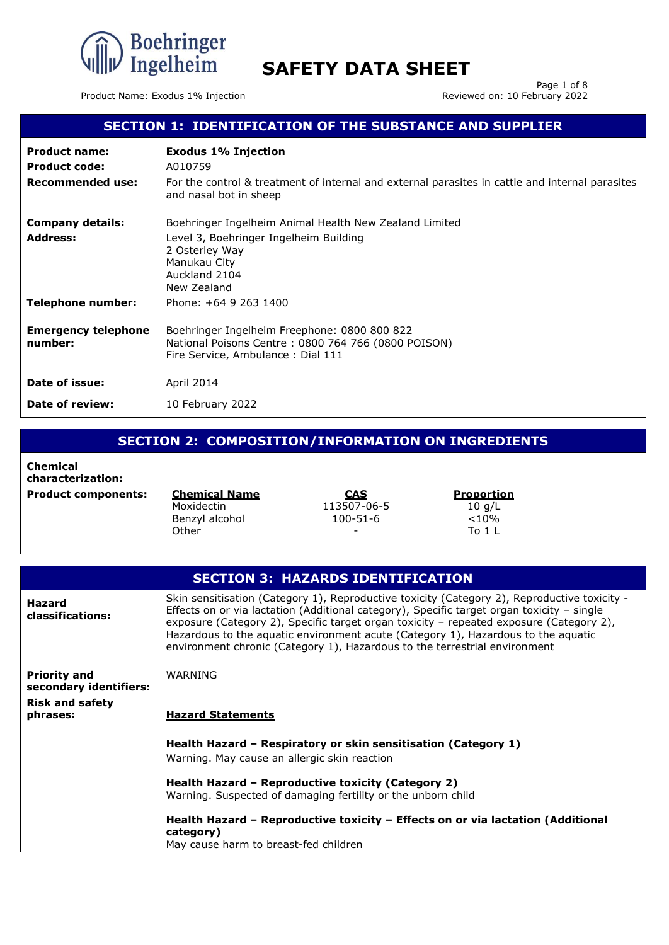

Product Name: Exodus 1% Injection

Page 1 of 8<br>Reviewed on: 10 February 2022

### **SECTION 1: IDENTIFICATION OF THE SUBSTANCE AND SUPPLIER**

| <b>Product name:</b><br><b>Product code:</b><br>Recommended use: | <b>Exodus 1% Injection</b><br>A010759<br>For the control & treatment of internal and external parasites in cattle and internal parasites<br>and nasal bot in sheep |
|------------------------------------------------------------------|--------------------------------------------------------------------------------------------------------------------------------------------------------------------|
| <b>Company details:</b>                                          | Boehringer Ingelheim Animal Health New Zealand Limited                                                                                                             |
| <b>Address:</b>                                                  | Level 3, Boehringer Ingelheim Building<br>2 Osterley Way<br>Manukau City<br>Auckland 2104<br>New Zealand                                                           |
| Telephone number:                                                | Phone: +64 9 263 1400                                                                                                                                              |
| <b>Emergency telephone</b><br>number:                            | Boehringer Ingelheim Freephone: 0800 800 822<br>National Poisons Centre: 0800 764 766 (0800 POISON)<br>Fire Service, Ambulance: Dial 111                           |
| Date of issue:                                                   | April 2014                                                                                                                                                         |
| Date of review:                                                  | 10 February 2022                                                                                                                                                   |

### **SECTION 2: COMPOSITION/INFORMATION ON INGREDIENTS**

**Chemical characterization: Product components: Chemical Name CAS Proportion**

Moxidectin 113507-06-5 10 g/L Benzyl alcohol **Other** 

100-51-6 -

 $< 10%$ To 1 L

|                                                                         | <b>SECTION 3: HAZARDS IDENTIFICATION</b>                                                                                                                                                                                                                                                                                                                                                                                                                 |
|-------------------------------------------------------------------------|----------------------------------------------------------------------------------------------------------------------------------------------------------------------------------------------------------------------------------------------------------------------------------------------------------------------------------------------------------------------------------------------------------------------------------------------------------|
| <b>Hazard</b><br>classifications:                                       | Skin sensitisation (Category 1), Reproductive toxicity (Category 2), Reproductive toxicity -<br>Effects on or via lactation (Additional category), Specific target organ toxicity - single<br>exposure (Category 2), Specific target organ toxicity - repeated exposure (Category 2),<br>Hazardous to the aquatic environment acute (Category 1), Hazardous to the aquatic<br>environment chronic (Category 1), Hazardous to the terrestrial environment |
| <b>Priority and</b><br>secondary identifiers:<br><b>Risk and safety</b> | WARNING                                                                                                                                                                                                                                                                                                                                                                                                                                                  |
| phrases:                                                                | <b>Hazard Statements</b>                                                                                                                                                                                                                                                                                                                                                                                                                                 |
|                                                                         | Health Hazard – Respiratory or skin sensitisation (Category 1)                                                                                                                                                                                                                                                                                                                                                                                           |
|                                                                         | Warning. May cause an allergic skin reaction                                                                                                                                                                                                                                                                                                                                                                                                             |
|                                                                         | Health Hazard - Reproductive toxicity (Category 2)<br>Warning. Suspected of damaging fertility or the unborn child                                                                                                                                                                                                                                                                                                                                       |
|                                                                         | Health Hazard – Reproductive toxicity – Effects on or via lactation (Additional<br>category)                                                                                                                                                                                                                                                                                                                                                             |
|                                                                         | May cause harm to breast-fed children                                                                                                                                                                                                                                                                                                                                                                                                                    |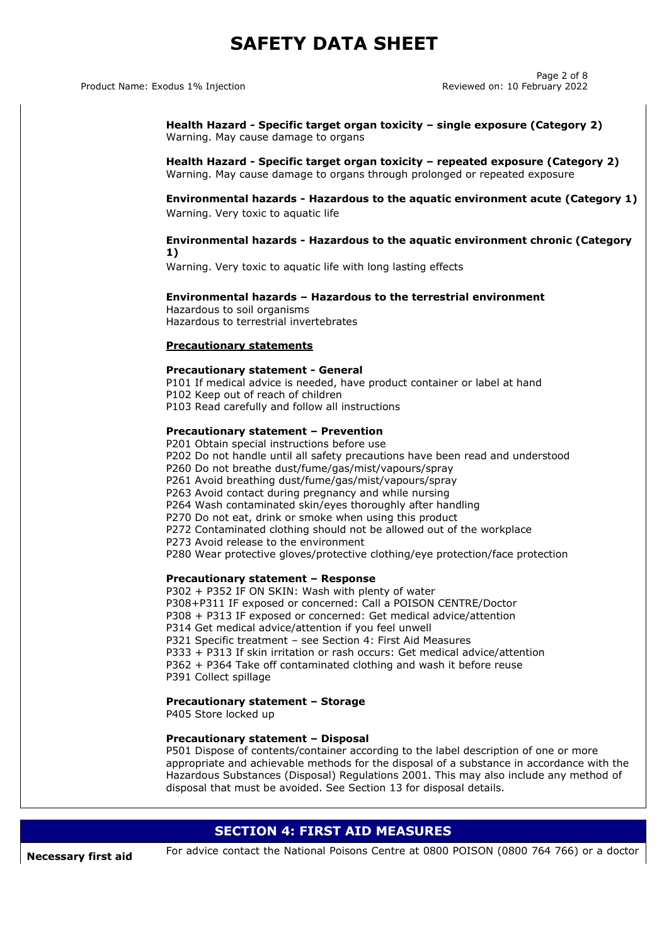#### Product Name: Exodus 1% Injection **Reviewed on: 10 February 2022**

Page 2 of 8

**Health Hazard - Specific target organ toxicity – single exposure (Category 2)** Warning. May cause damage to organs

**Health Hazard - Specific target organ toxicity – repeated exposure (Category 2)** Warning. May cause damage to organs through prolonged or repeated exposure

**Environmental hazards - Hazardous to the aquatic environment acute (Category 1)** Warning. Very toxic to aquatic life

#### **Environmental hazards - Hazardous to the aquatic environment chronic (Category 1)**

Warning. Very toxic to aquatic life with long lasting effects

#### **Environmental hazards – Hazardous to the terrestrial environment**

Hazardous to soil organisms Hazardous to terrestrial invertebrates

### **Precautionary statements**

#### **Precautionary statement - General**

P101 If medical advice is needed, have product container or label at hand P102 Keep out of reach of children P103 Read carefully and follow all instructions

#### **Precautionary statement – Prevention**

P201 Obtain special instructions before use P202 Do not handle until all safety precautions have been read and understood P260 Do not breathe dust/fume/gas/mist/vapours/spray P261 Avoid breathing dust/fume/gas/mist/vapours/spray P263 Avoid contact during pregnancy and while nursing P264 Wash contaminated skin/eyes thoroughly after handling P270 Do not eat, drink or smoke when using this product P272 Contaminated clothing should not be allowed out of the workplace P273 Avoid release to the environment P280 Wear protective gloves/protective clothing/eye protection/face protection

#### **Precautionary statement – Response**

P302 + P352 IF ON SKIN: Wash with plenty of water P308+P311 IF exposed or concerned: Call a POISON CENTRE/Doctor P308 + P313 IF exposed or concerned: Get medical advice/attention P314 Get medical advice/attention if you feel unwell P321 Specific treatment – see Section 4: First Aid Measures P333 + P313 If skin irritation or rash occurs: Get medical advice/attention P362 + P364 Take off contaminated clothing and wash it before reuse P391 Collect spillage

#### **Precautionary statement – Storage**

P405 Store locked up

#### **Precautionary statement – Disposal**

P501 Dispose of contents/container according to the label description of one or more appropriate and achievable methods for the disposal of a substance in accordance with the Hazardous Substances (Disposal) Regulations 2001. This may also include any method of disposal that must be avoided. See Section 13 for disposal details.

### **SECTION 4: FIRST AID MEASURES**

**Necessary first aid** For advice contact the National Poisons Centre at 0800 POISON (0800 764 766) or a doctor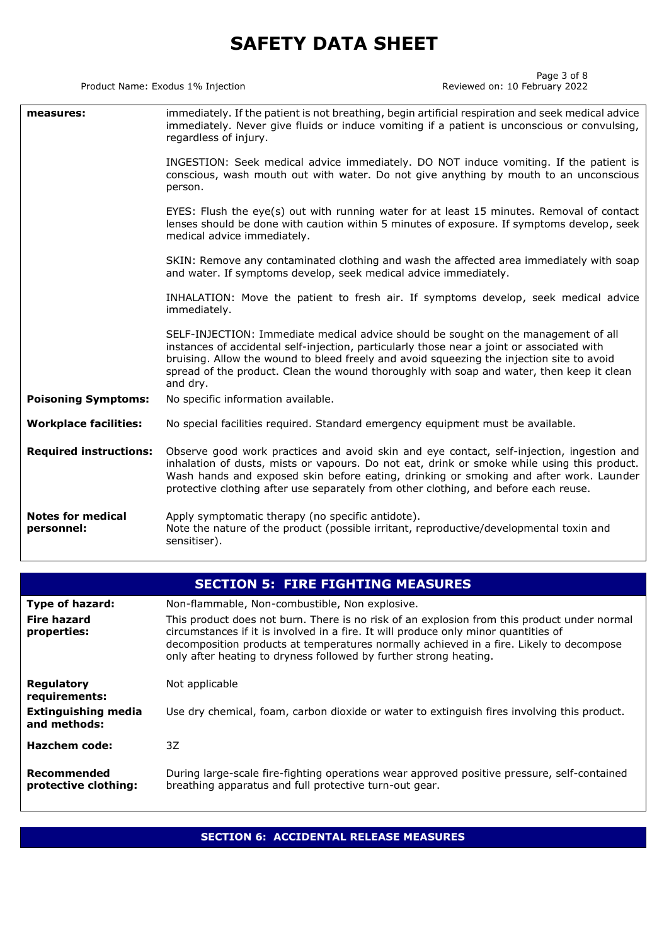Product Name: Exodus 1% Injection

Page 3 of 8<br>Reviewed on: 10 February 2022

| measures:                              | immediately. If the patient is not breathing, begin artificial respiration and seek medical advice<br>immediately. Never give fluids or induce vomiting if a patient is unconscious or convulsing,<br>regardless of injury.                                                                                                                                                            |  |
|----------------------------------------|----------------------------------------------------------------------------------------------------------------------------------------------------------------------------------------------------------------------------------------------------------------------------------------------------------------------------------------------------------------------------------------|--|
|                                        | INGESTION: Seek medical advice immediately. DO NOT induce vomiting. If the patient is<br>conscious, wash mouth out with water. Do not give anything by mouth to an unconscious<br>person.                                                                                                                                                                                              |  |
|                                        | EYES: Flush the eye(s) out with running water for at least 15 minutes. Removal of contact<br>lenses should be done with caution within 5 minutes of exposure. If symptoms develop, seek<br>medical advice immediately.                                                                                                                                                                 |  |
|                                        | SKIN: Remove any contaminated clothing and wash the affected area immediately with soap<br>and water. If symptoms develop, seek medical advice immediately.                                                                                                                                                                                                                            |  |
|                                        | INHALATION: Move the patient to fresh air. If symptoms develop, seek medical advice<br>immediately.                                                                                                                                                                                                                                                                                    |  |
|                                        | SELF-INJECTION: Immediate medical advice should be sought on the management of all<br>instances of accidental self-injection, particularly those near a joint or associated with<br>bruising. Allow the wound to bleed freely and avoid squeezing the injection site to avoid<br>spread of the product. Clean the wound thoroughly with soap and water, then keep it clean<br>and dry. |  |
| <b>Poisoning Symptoms:</b>             | No specific information available.                                                                                                                                                                                                                                                                                                                                                     |  |
| <b>Workplace facilities:</b>           | No special facilities required. Standard emergency equipment must be available.                                                                                                                                                                                                                                                                                                        |  |
| <b>Required instructions:</b>          | Observe good work practices and avoid skin and eye contact, self-injection, ingestion and<br>inhalation of dusts, mists or vapours. Do not eat, drink or smoke while using this product.<br>Wash hands and exposed skin before eating, drinking or smoking and after work. Launder<br>protective clothing after use separately from other clothing, and before each reuse.             |  |
| <b>Notes for medical</b><br>personnel: | Apply symptomatic therapy (no specific antidote).<br>Note the nature of the product (possible irritant, reproductive/developmental toxin and<br>sensitiser).                                                                                                                                                                                                                           |  |

| <b>SECTION 5: FIRE FIGHTING MEASURES</b>   |                                                                                                                                                                                                                                                                                                                                                    |  |  |
|--------------------------------------------|----------------------------------------------------------------------------------------------------------------------------------------------------------------------------------------------------------------------------------------------------------------------------------------------------------------------------------------------------|--|--|
| <b>Type of hazard:</b>                     | Non-flammable, Non-combustible, Non explosive.                                                                                                                                                                                                                                                                                                     |  |  |
| <b>Fire hazard</b><br>properties:          | This product does not burn. There is no risk of an explosion from this product under normal<br>circumstances if it is involved in a fire. It will produce only minor quantities of<br>decomposition products at temperatures normally achieved in a fire. Likely to decompose<br>only after heating to dryness followed by further strong heating. |  |  |
| Regulatory<br>requirements:                | Not applicable                                                                                                                                                                                                                                                                                                                                     |  |  |
| <b>Extinguishing media</b><br>and methods: | Use dry chemical, foam, carbon dioxide or water to extinguish fires involving this product.                                                                                                                                                                                                                                                        |  |  |
| Hazchem code:                              | 3Z                                                                                                                                                                                                                                                                                                                                                 |  |  |
| Recommended<br>protective clothing:        | During large-scale fire-fighting operations wear approved positive pressure, self-contained<br>breathing apparatus and full protective turn-out gear.                                                                                                                                                                                              |  |  |

**SECTION 6: ACCIDENTAL RELEASE MEASURES**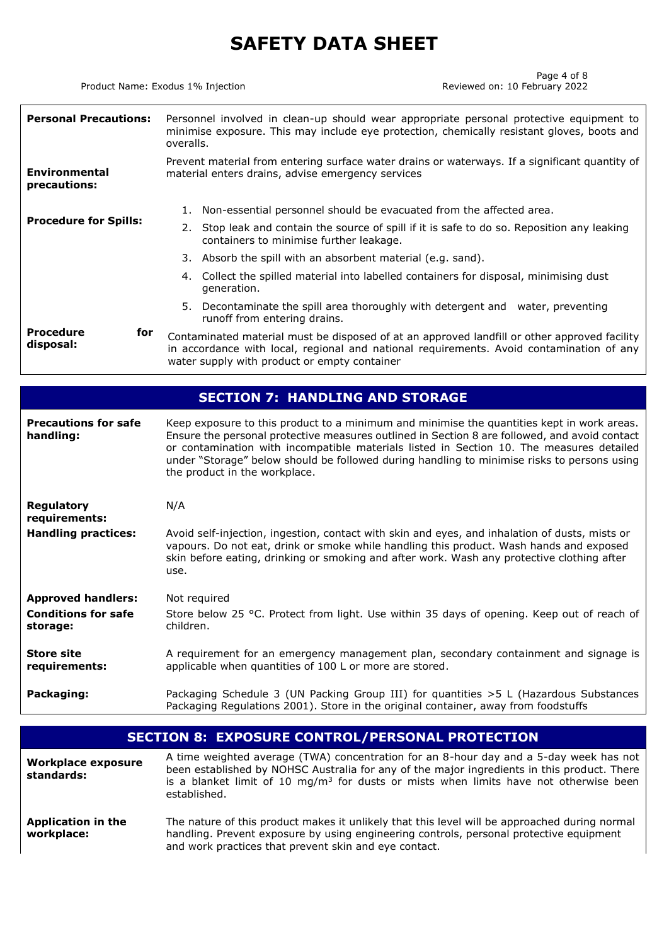Product Name: Exodus 1% Injection

Page 4 of 8<br>Reviewed on: 10 February 2022

| <b>Personal Precautions:</b>             | Personnel involved in clean-up should wear appropriate personal protective equipment to<br>minimise exposure. This may include eye protection, chemically resistant gloves, boots and<br>overalls.                                                                                      |  |  |
|------------------------------------------|-----------------------------------------------------------------------------------------------------------------------------------------------------------------------------------------------------------------------------------------------------------------------------------------|--|--|
| <b>Environmental</b><br>precautions:     | Prevent material from entering surface water drains or waterways. If a significant quantity of<br>material enters drains, advise emergency services                                                                                                                                     |  |  |
|                                          | Non-essential personnel should be evacuated from the affected area.<br>1.                                                                                                                                                                                                               |  |  |
| <b>Procedure for Spills:</b>             | Stop leak and contain the source of spill if it is safe to do so. Reposition any leaking<br>2.<br>containers to minimise further leakage.                                                                                                                                               |  |  |
|                                          | 3. Absorb the spill with an absorbent material (e.g. sand).                                                                                                                                                                                                                             |  |  |
|                                          | 4. Collect the spilled material into labelled containers for disposal, minimising dust<br>generation.                                                                                                                                                                                   |  |  |
|                                          | Decontaminate the spill area thoroughly with detergent and water, preventing<br>5.<br>runoff from entering drains.                                                                                                                                                                      |  |  |
| <b>Procedure</b><br>for<br>disposal:     | Contaminated material must be disposed of at an approved landfill or other approved facility<br>in accordance with local, regional and national requirements. Avoid contamination of any<br>water supply with product or empty container                                                |  |  |
|                                          |                                                                                                                                                                                                                                                                                         |  |  |
| <b>SECTION 7: HANDLING AND STORAGE</b>   |                                                                                                                                                                                                                                                                                         |  |  |
| <b>Precautions for safe</b><br>handling: | Keep exposure to this product to a minimum and minimise the quantities kept in work areas.<br>Ensure the personal protective measures outlined in Section 8 are followed, and avoid contact<br>or contamination with incompatible materials listed in Section 10. The measures detailed |  |  |

|                                        | under "Storage" below should be followed during handling to minimise risks to persons using<br>the product in the workplace.                                                                                                                                                                    |
|----------------------------------------|-------------------------------------------------------------------------------------------------------------------------------------------------------------------------------------------------------------------------------------------------------------------------------------------------|
| <b>Regulatory</b><br>requirements:     | N/A                                                                                                                                                                                                                                                                                             |
| <b>Handling practices:</b>             | Avoid self-injection, ingestion, contact with skin and eyes, and inhalation of dusts, mists or<br>vapours. Do not eat, drink or smoke while handling this product. Wash hands and exposed<br>skin before eating, drinking or smoking and after work. Wash any protective clothing after<br>use. |
| <b>Approved handlers:</b>              | Not required                                                                                                                                                                                                                                                                                    |
| <b>Conditions for safe</b><br>storage: | Store below 25 °C. Protect from light. Use within 35 days of opening. Keep out of reach of<br>children.                                                                                                                                                                                         |
| <b>Store site</b><br>requirements:     | A requirement for an emergency management plan, secondary containment and signage is<br>applicable when quantities of 100 L or more are stored.                                                                                                                                                 |

**Packaging:** Packaging Schedule 3 (UN Packing Group III) for quantities >5 L (Hazardous Substances Packaging Regulations 2001). Store in the original container, away from foodstuffs

| <b>SECTION 8: EXPOSURE CONTROL/PERSONAL PROTECTION</b> |                                                                                                                                                                                                                                                                                                            |  |  |
|--------------------------------------------------------|------------------------------------------------------------------------------------------------------------------------------------------------------------------------------------------------------------------------------------------------------------------------------------------------------------|--|--|
| <b>Workplace exposure</b><br>standards:                | A time weighted average (TWA) concentration for an 8-hour day and a 5-day week has not<br>been established by NOHSC Australia for any of the major ingredients in this product. There<br>is a blanket limit of 10 mg/m <sup>3</sup> for dusts or mists when limits have not otherwise been<br>established. |  |  |
| <b>Application in the</b><br>workplace:                | The nature of this product makes it unlikely that this level will be approached during normal<br>handling. Prevent exposure by using engineering controls, personal protective equipment<br>and work practices that prevent skin and eye contact.                                                          |  |  |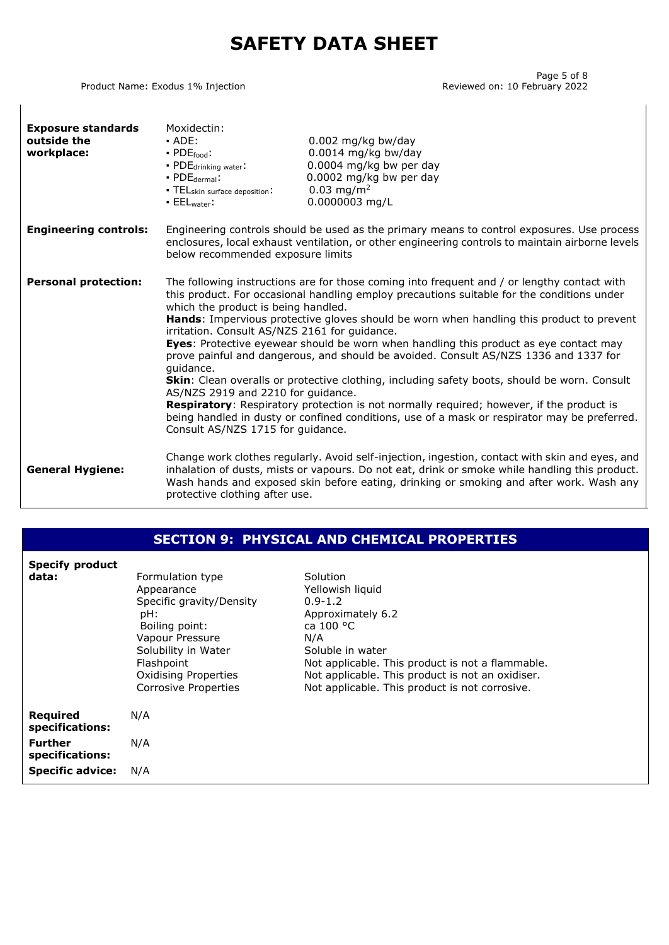Product Name: Exodus 1% Injection

Page 5 of 8<br>Reviewed on: 10 February 2022

| <b>Exposure standards</b><br>outside the<br>workplace: | Moxidectin:<br>$-$ ADE:<br>$\cdot$ PDE $_{\text{food}}$ :<br>• PDE <sub>drinking water</sub> :<br>$\cdot$ PDE dermal:<br>• TELskin surface deposition:<br>$\blacksquare$ EELwater:                                                                                                                                                                                                                                                                                                                                                                                                                                                                                                                                                                                                                                                                                                                                                                        | $0.002$ mg/kg bw/day<br>0.0014 mg/kg bw/day<br>$0.0004$ mg/kg bw per day<br>0.0002 mg/kg bw per day<br>$0.03$ mg/m <sup>2</sup><br>0.0000003 mg/L                                                                                                                                            |  |
|--------------------------------------------------------|-----------------------------------------------------------------------------------------------------------------------------------------------------------------------------------------------------------------------------------------------------------------------------------------------------------------------------------------------------------------------------------------------------------------------------------------------------------------------------------------------------------------------------------------------------------------------------------------------------------------------------------------------------------------------------------------------------------------------------------------------------------------------------------------------------------------------------------------------------------------------------------------------------------------------------------------------------------|----------------------------------------------------------------------------------------------------------------------------------------------------------------------------------------------------------------------------------------------------------------------------------------------|--|
| <b>Engineering controls:</b>                           | Engineering controls should be used as the primary means to control exposures. Use process<br>enclosures, local exhaust ventilation, or other engineering controls to maintain airborne levels<br>below recommended exposure limits                                                                                                                                                                                                                                                                                                                                                                                                                                                                                                                                                                                                                                                                                                                       |                                                                                                                                                                                                                                                                                              |  |
| <b>Personal protection:</b>                            | The following instructions are for those coming into frequent and / or lengthy contact with<br>this product. For occasional handling employ precautions suitable for the conditions under<br>which the product is being handled.<br>Hands: Impervious protective gloves should be worn when handling this product to prevent<br>irritation. Consult AS/NZS 2161 for guidance.<br>Eyes: Protective eyewear should be worn when handling this product as eye contact may<br>prove painful and dangerous, and should be avoided. Consult AS/NZS 1336 and 1337 for<br>guidance.<br>Skin: Clean overalls or protective clothing, including safety boots, should be worn. Consult<br>AS/NZS 2919 and 2210 for guidance.<br><b>Respiratory:</b> Respiratory protection is not normally required; however, if the product is<br>being handled in dusty or confined conditions, use of a mask or respirator may be preferred.<br>Consult AS/NZS 1715 for guidance. |                                                                                                                                                                                                                                                                                              |  |
| <b>General Hygiene:</b>                                | protective clothing after use.                                                                                                                                                                                                                                                                                                                                                                                                                                                                                                                                                                                                                                                                                                                                                                                                                                                                                                                            | Change work clothes regularly. Avoid self-injection, ingestion, contact with skin and eyes, and<br>inhalation of dusts, mists or vapours. Do not eat, drink or smoke while handling this product.<br>Wash hands and exposed skin before eating, drinking or smoking and after work. Wash any |  |

### **SECTION 9: PHYSICAL AND CHEMICAL PROPERTIES**

| <b>Specify product</b><br>data:   | Formulation type<br>Appearance<br>Specific gravity/Density<br>pH:<br>Boiling point:<br>Vapour Pressure<br>Solubility in Water<br>Flashpoint<br><b>Oxidising Properties</b><br><b>Corrosive Properties</b> | Solution<br>Yellowish liquid<br>$0.9 - 1.2$<br>Approximately 6.2<br>ca 100 °C<br>N/A<br>Soluble in water<br>Not applicable. This product is not a flammable.<br>Not applicable. This product is not an oxidiser.<br>Not applicable. This product is not corrosive. |
|-----------------------------------|-----------------------------------------------------------------------------------------------------------------------------------------------------------------------------------------------------------|--------------------------------------------------------------------------------------------------------------------------------------------------------------------------------------------------------------------------------------------------------------------|
| Required<br>specifications:       | N/A                                                                                                                                                                                                       |                                                                                                                                                                                                                                                                    |
| <b>Further</b><br>specifications: | N/A                                                                                                                                                                                                       |                                                                                                                                                                                                                                                                    |
| <b>Specific advice:</b>           | N/A                                                                                                                                                                                                       |                                                                                                                                                                                                                                                                    |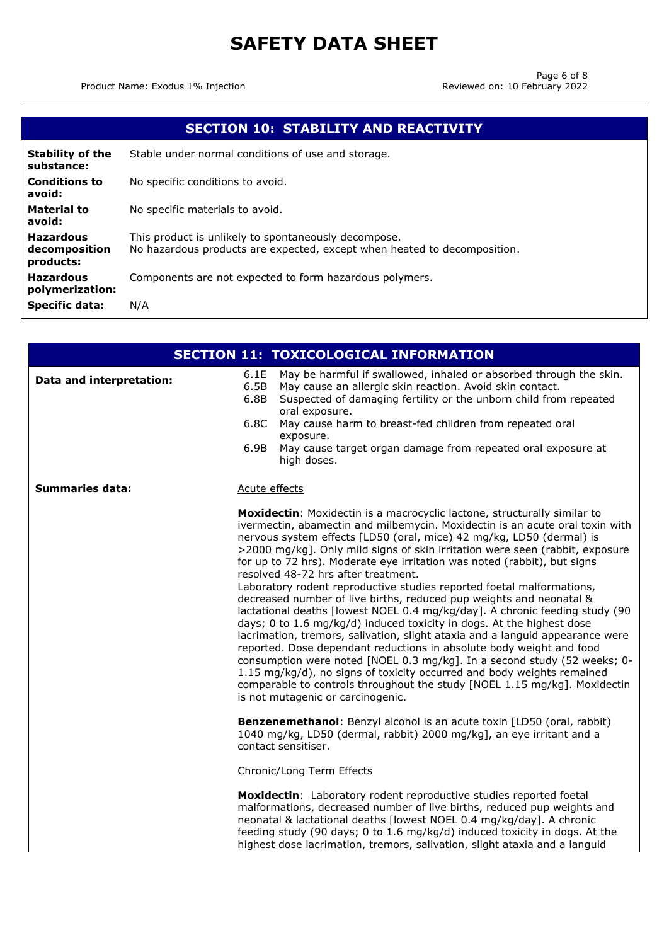Product Name: Exodus 1% Injection

| <b>SECTION 10: STABILITY AND REACTIVITY</b>    |                                                                                                                                  |  |
|------------------------------------------------|----------------------------------------------------------------------------------------------------------------------------------|--|
| <b>Stability of the</b><br>substance:          | Stable under normal conditions of use and storage.                                                                               |  |
| <b>Conditions to</b><br>avoid:                 | No specific conditions to avoid.                                                                                                 |  |
| <b>Material to</b><br>avoid:                   | No specific materials to avoid.                                                                                                  |  |
| <b>Hazardous</b><br>decomposition<br>products: | This product is unlikely to spontaneously decompose.<br>No hazardous products are expected, except when heated to decomposition. |  |
| <b>Hazardous</b><br>polymerization:            | Components are not expected to form hazardous polymers.                                                                          |  |
| <b>Specific data:</b>                          | N/A                                                                                                                              |  |

|                          | <b>SECTION 11: TOXICOLOGICAL INFORMATION</b>                                                                                                                                                                                                                                                                                                                                                                                                                                                                                                                                                                                                                                                                                                                                                                                                                                                                                                                                                                                                                                                                                                                                                                                                                                                                                                          |
|--------------------------|-------------------------------------------------------------------------------------------------------------------------------------------------------------------------------------------------------------------------------------------------------------------------------------------------------------------------------------------------------------------------------------------------------------------------------------------------------------------------------------------------------------------------------------------------------------------------------------------------------------------------------------------------------------------------------------------------------------------------------------------------------------------------------------------------------------------------------------------------------------------------------------------------------------------------------------------------------------------------------------------------------------------------------------------------------------------------------------------------------------------------------------------------------------------------------------------------------------------------------------------------------------------------------------------------------------------------------------------------------|
| Data and interpretation: | 6.1E<br>May be harmful if swallowed, inhaled or absorbed through the skin.<br>6.5B<br>May cause an allergic skin reaction. Avoid skin contact.<br>6.8B<br>Suspected of damaging fertility or the unborn child from repeated<br>oral exposure.<br>6.8C<br>May cause harm to breast-fed children from repeated oral<br>exposure.<br>6.9B<br>May cause target organ damage from repeated oral exposure at<br>high doses.                                                                                                                                                                                                                                                                                                                                                                                                                                                                                                                                                                                                                                                                                                                                                                                                                                                                                                                                 |
| <b>Summaries data:</b>   | Acute effects                                                                                                                                                                                                                                                                                                                                                                                                                                                                                                                                                                                                                                                                                                                                                                                                                                                                                                                                                                                                                                                                                                                                                                                                                                                                                                                                         |
|                          | Moxidectin: Moxidectin is a macrocyclic lactone, structurally similar to<br>ivermectin, abamectin and milbemycin. Moxidectin is an acute oral toxin with<br>nervous system effects [LD50 (oral, mice) 42 mg/kg, LD50 (dermal) is<br>>2000 mg/kg]. Only mild signs of skin irritation were seen (rabbit, exposure<br>for up to 72 hrs). Moderate eye irritation was noted (rabbit), but signs<br>resolved 48-72 hrs after treatment.<br>Laboratory rodent reproductive studies reported foetal malformations,<br>decreased number of live births, reduced pup weights and neonatal &<br>lactational deaths [lowest NOEL 0.4 mg/kg/day]. A chronic feeding study (90<br>days; 0 to 1.6 mg/kg/d) induced toxicity in dogs. At the highest dose<br>lacrimation, tremors, salivation, slight ataxia and a languid appearance were<br>reported. Dose dependant reductions in absolute body weight and food<br>consumption were noted [NOEL 0.3 mg/kg]. In a second study (52 weeks; 0-<br>1.15 mg/kg/d), no signs of toxicity occurred and body weights remained<br>comparable to controls throughout the study [NOEL 1.15 mg/kg]. Moxidectin<br>is not mutagenic or carcinogenic.<br>Benzenemethanol: Benzyl alcohol is an acute toxin [LD50 (oral, rabbit)<br>1040 mg/kg, LD50 (dermal, rabbit) 2000 mg/kg], an eye irritant and a<br>contact sensitiser. |
|                          | Chronic/Long Term Effects                                                                                                                                                                                                                                                                                                                                                                                                                                                                                                                                                                                                                                                                                                                                                                                                                                                                                                                                                                                                                                                                                                                                                                                                                                                                                                                             |
|                          | <b>Moxidectin:</b> Laboratory rodent reproductive studies reported foetal<br>malformations, decreased number of live births, reduced pup weights and<br>neonatal & lactational deaths [lowest NOEL 0.4 mg/kg/day]. A chronic<br>feeding study (90 days; 0 to 1.6 mg/kg/d) induced toxicity in dogs. At the<br>highest dose lacrimation, tremors, salivation, slight ataxia and a languid                                                                                                                                                                                                                                                                                                                                                                                                                                                                                                                                                                                                                                                                                                                                                                                                                                                                                                                                                              |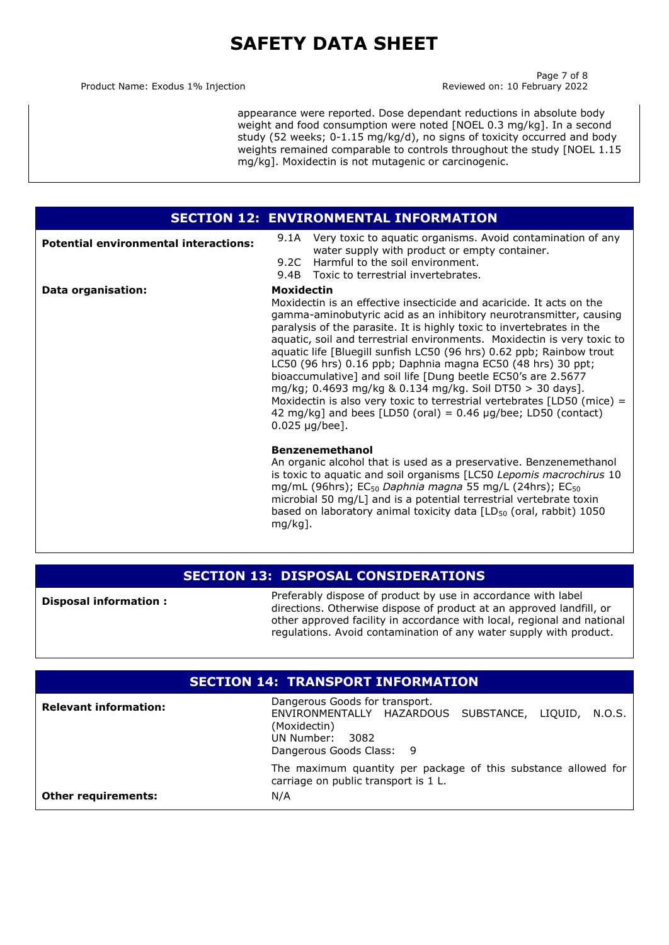Product Name: Exodus 1% Injection **Reviewed on: 10 February 2022** 

Page 7 of 8

appearance were reported. Dose dependant reductions in absolute body weight and food consumption were noted [NOEL 0.3 mg/kg]. In a second study (52 weeks; 0-1.15 mg/kg/d), no signs of toxicity occurred and body weights remained comparable to controls throughout the study [NOEL 1.15 mg/kg]. Moxidectin is not mutagenic or carcinogenic.

| <b>SECTION 12: ENVIRONMENTAL INFORMATION</b> |                                                                                                                                                                                                                                                                                                                                                                                                                                                                                                                                                                                                                                                                                                                                                                                                                                                                                                                                                                                                                                                                                                                                                 |                                                                                                                                                       |
|----------------------------------------------|-------------------------------------------------------------------------------------------------------------------------------------------------------------------------------------------------------------------------------------------------------------------------------------------------------------------------------------------------------------------------------------------------------------------------------------------------------------------------------------------------------------------------------------------------------------------------------------------------------------------------------------------------------------------------------------------------------------------------------------------------------------------------------------------------------------------------------------------------------------------------------------------------------------------------------------------------------------------------------------------------------------------------------------------------------------------------------------------------------------------------------------------------|-------------------------------------------------------------------------------------------------------------------------------------------------------|
| <b>Potential environmental interactions:</b> | 9.2C                                                                                                                                                                                                                                                                                                                                                                                                                                                                                                                                                                                                                                                                                                                                                                                                                                                                                                                                                                                                                                                                                                                                            | 9.1A Very toxic to aquatic organisms. Avoid contamination of any<br>water supply with product or empty container.<br>Harmful to the soil environment. |
|                                              |                                                                                                                                                                                                                                                                                                                                                                                                                                                                                                                                                                                                                                                                                                                                                                                                                                                                                                                                                                                                                                                                                                                                                 |                                                                                                                                                       |
| Data organisation:                           | 9.4B Toxic to terrestrial invertebrates.<br><b>Moxidectin</b><br>Moxidectin is an effective insecticide and acaricide. It acts on the<br>gamma-aminobutyric acid as an inhibitory neurotransmitter, causing<br>paralysis of the parasite. It is highly toxic to invertebrates in the<br>aquatic, soil and terrestrial environments. Moxidectin is very toxic to<br>aquatic life [Bluegill sunfish LC50 (96 hrs) 0.62 ppb; Rainbow trout<br>LC50 (96 hrs) 0.16 ppb; Daphnia magna EC50 (48 hrs) 30 ppt;<br>bioaccumulative] and soil life [Dung beetle EC50's are 2.5677<br>mg/kg; 0.4693 mg/kg & 0.134 mg/kg. Soil DT50 > 30 days].<br>Moxidectin is also very toxic to terrestrial vertebrates $[LD50$ (mice) =<br>42 mg/kg] and bees [LD50 (oral) = $0.46 \mu g$ /bee; LD50 (contact)<br>$0.025 \mu g/bee$ ].<br><b>Benzenemethanol</b><br>An organic alcohol that is used as a preservative. Benzenemethanol<br>is toxic to aquatic and soil organisms [LC50 Lepomis macrochirus 10<br>mg/mL (96hrs); EC <sub>50</sub> Daphnia magna 55 mg/L (24hrs); EC <sub>50</sub><br>microbial 50 mg/L] and is a potential terrestrial vertebrate toxin |                                                                                                                                                       |
|                                              | $mg/kg$ ].                                                                                                                                                                                                                                                                                                                                                                                                                                                                                                                                                                                                                                                                                                                                                                                                                                                                                                                                                                                                                                                                                                                                      | based on laboratory animal toxicity data [LD <sub>50</sub> (oral, rabbit) 1050                                                                        |

### **SECTION 13: DISPOSAL CONSIDERATIONS**

**Disposal information :**

Preferably dispose of product by use in accordance with label directions. Otherwise dispose of product at an approved landfill, or other approved facility in accordance with local, regional and national regulations. Avoid contamination of any water supply with product.

### **SECTION 14: TRANSPORT INFORMATION Relevant information:** Dangerous Goods for transport. ENVIRONMENTALLY HAZARDOUS SUBSTANCE, LIQUID, N.O.S. (Moxidectin) UN Number: 3082 Dangerous Goods Class: 9 The maximum quantity per package of this substance allowed for carriage on public transport is 1 L. **Other requirements:** N/A